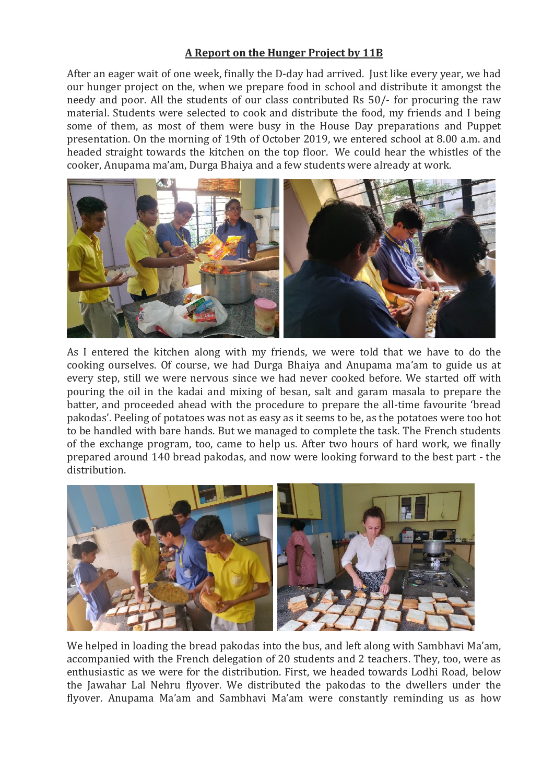## **A Report on the Hunger Project by 11B**

After an eager wait of one week, finally the D-day had arrived. Just like every year, we had our hunger project on the, when we prepare food in school and distribute it amongst the needy and poor. All the students of our class contributed Rs 50/- for procuring the raw material. Students were selected to cook and distribute the food, my friends and I being some of them, as most of them were busy in the House Day preparations and Puppet presentation. On the morning of 19th of October 2019, we entered school at 8.00 a.m. and headed straight towards the kitchen on the top floor. We could hear the whistles of the cooker, Anupama ma'am, Durga Bhaiya and a few students were already at work.



As I entered the kitchen along with my friends, we were told that we have to do the cooking ourselves. Of course, we had Durga Bhaiya and Anupama ma'am to guide us at every step, still we were nervous since we had never cooked before. We started off with pouring the oil in the kadai and mixing of besan, salt and garam masala to prepare the batter, and proceeded ahead with the procedure to prepare the all-time favourite 'bread pakodas'. Peeling of potatoes was not as easy as it seems to be, as the potatoes were too hot to be handled with bare hands. But we managed to complete the task. The French students of the exchange program, too, came to help us. After two hours of hard work, we finally prepared around 140 bread pakodas, and now were looking forward to the best part - the distribution.



We helped in loading the bread pakodas into the bus, and left along with Sambhavi Ma'am, accompanied with the French delegation of 20 students and 2 teachers. They, too, were as enthusiastic as we were for the distribution. First, we headed towards Lodhi Road, below the Jawahar Lal Nehru flyover. We distributed the pakodas to the dwellers under the flyover. Anupama Ma'am and Sambhavi Ma'am were constantly reminding us as how